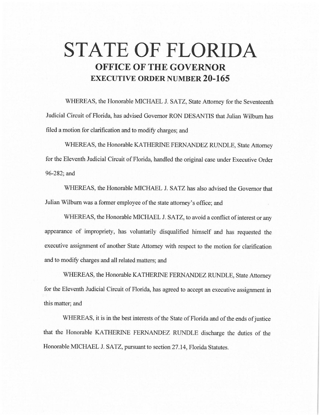# **STATE OF FLORIDA OFFICE OF THE GOVERNOR EXECUTIVE ORDER NUMBER 20-165**

WHEREAS, the Honorable MICHAEL J. SATZ, State Attorney for the Seventeenth Judicial Circuit of Florida, has advised Governor RON DESANTIS that Julian Wilburn has filed a motion for clarification and to modify charges; and

WHEREAS, the Honorable KA THERINE FERNANDEZ RUNDLE, State Attorney for the Eleventh Judicial Circuit of Florida, handled the original case under Executive Order 96-282; and

WHEREAS, the Honorable MICHAEL J. SATZ has also advised the Governor that Julian Wilburn was a former employee of the state attorney's office; and

WHEREAS, the Honorable MICHAEL J. SATZ, to avoid a conflict of interest or any appearance of impropriety, has voluntarily disqualified himself and has requested the executive assignment of another State Attorney with respect to the motion for clarification and to modify charges and all related matters; and

WHEREAS, the Honorable KATHERINE FERNANDEZ RUNDLE, State Attorney for the Eleventh Judicial Circuit of Florida, has agreed to accept an executive assignment in this matter; and

WHEREAS, it is in the best interests of the State of Florida and of the ends of justice that the Honorable KATHERINE FERNANDEZ RUNDLE discharge the duties of the Honorable MICHAEL J. SATZ, pursuant to section 27.14, Florida Statutes.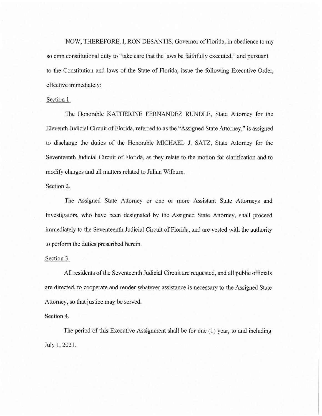NOW, THEREFORE, I, RON DESANTIS, Governor of Florida, in obedience to my solemn constitutional duty to "take care that the laws be faithfully executed," and pursuant to the Constitution and laws of the State of Florida, issue the following Executive Order, effective immediately:

## Section 1.

The Honorable KATHERINE FERNANDEZ RUNDLE, State Attorney for the Eleventh Judicial Circuit of Florida, referred to as the "Assigned State Attorney," is assigned to discharge the duties of the Honorable MICHAEL J. SATZ, State Attorney for the Seventeenth Judicial Circuit of Florida, as they relate to the motion for clarification and to modify charges and all matters related to Julian Wilburn.

### Section 2.

The Assigned State Attorney or one or more Assistant State Attorneys and Investigators, who have been designated by the Assigned State Attorney, shall proceed immediately to the Seventeenth Judicial Circuit of Florida, and are vested with the authority to perform the duties prescribed herein.

### Section 3.

All residents of the Seventeenth Judicial Circuit are requested, and all public officials are directed, to cooperate and render whatever assistance is necessary to the Assigned State Attorney, so that justice may be served.

### Section 4.

The period of this Executive Assignment shall be for one  $(1)$  year, to and including July 1, 2021.